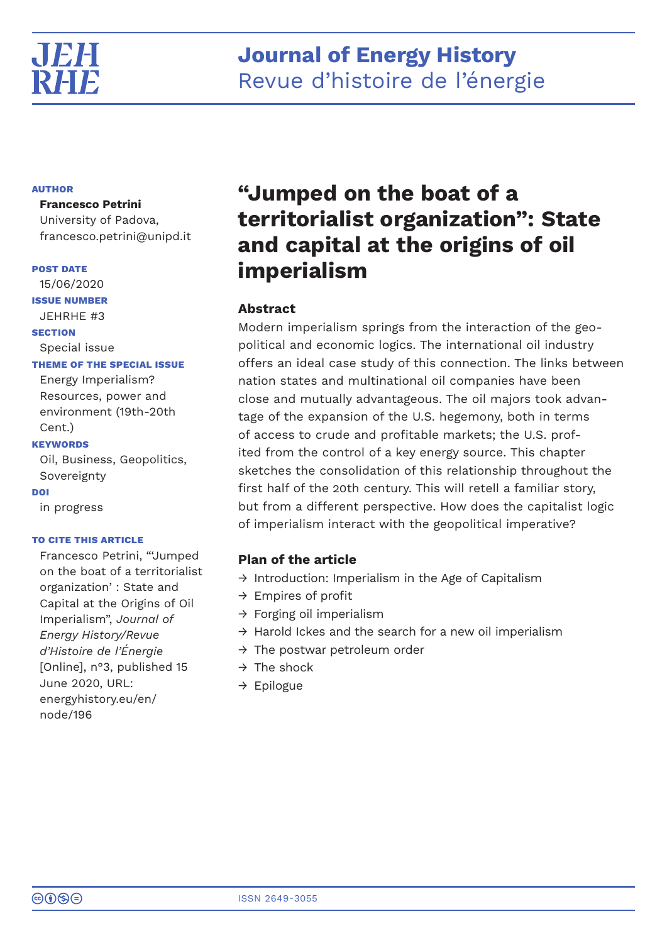

# **Journal of Energy History** Revue d'histoire de l'énergie

# **AUTHOR**

# **Francesco Petrini**

University of Padova, francesco.petrini@unipd.it

# **POST DATE**

15/06/2020

**ISSUE NUMBER**

JEHRHE #3

# **SECTION**

Special issue

# **THEME OF THE SPECIAL ISSUE**

Energy Imperialism? Resources, power and environment (19th-20th Cent.)

# **KEYWORDS**

Oil, Business, Geopolitics, Sovereignty

# **DOI**

in progress

# **TO CITE THIS ARTICLE**

Francesco Petrini, "'Jumped on the boat of a territorialist organization': State and Capital at the Origins of Oil Imperialism", *Journal of Energy History/Revue d'Histoire de l'Énergie* [Online], n°3, published 15 June 2020, URL: energyhistory.eu/en/ node/196

# **"Jumped on the boat of a territorialist organization": State and capital at the origins of oil imperialism**

# **Abstract**

Modern imperialism springs from the interaction of the geopolitical and economic logics. The international oil industry offers an ideal case study of this connection. The links between nation states and multinational oil companies have been close and mutually advantageous. The oil majors took advantage of the expansion of the U.S. hegemony, both in terms of access to crude and profitable markets; the U.S. profited from the control of a key energy source. This chapter sketches the consolidation of this relationship throughout the first half of the 20th century. This will retell a familiar story, but from a different perspective. How does the capitalist logic of imperialism interact with the geopolitical imperative?

# **Plan of the article**

- $\rightarrow$  Introduction: Imperialism in the Age of Capitalism
- $\rightarrow$  Empires of profit
- $\rightarrow$  Forging oil imperialism
- $\rightarrow$  Harold Ickes and the search for a new oil imperialism
- $\rightarrow$  The postwar petroleum order
- $\rightarrow$  The shock
- $\rightarrow$  Epilogue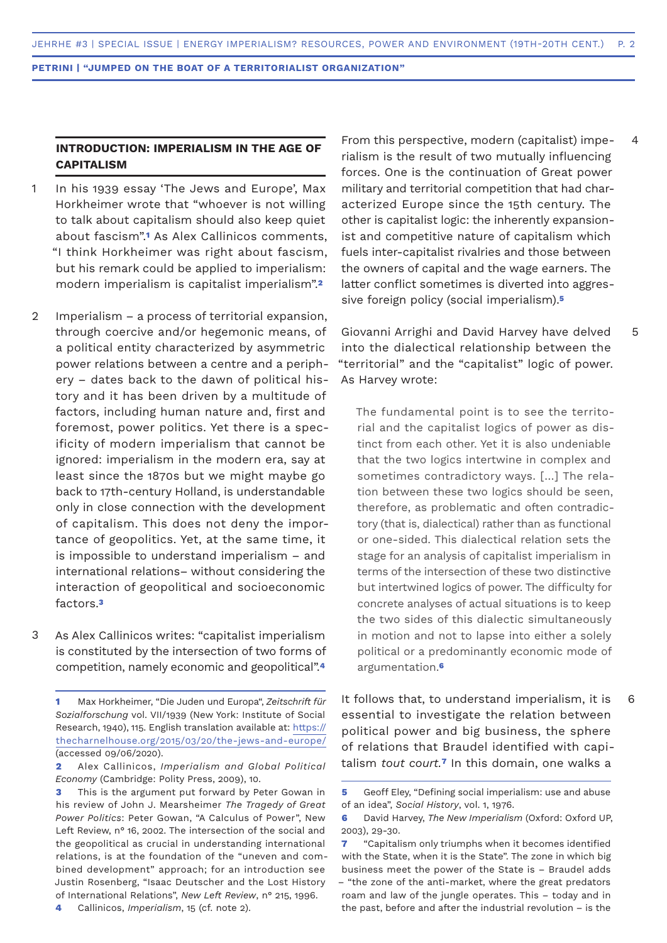# **INTRODUCTION: IMPERIALISM IN THE AGE OF CAPITALISM**

- In his 1939 essay 'The Jews and Europe', Max Horkheimer wrote that "whoever is not willing to talk about capitalism should also keep quiet about fascism".**1** As Alex Callinicos comments, "I think Horkheimer was right about fascism, but his remark could be applied to imperialism: modern imperialism is capitalist imperialism".**<sup>2</sup>** 1
- Imperialism a process of territorial expansion, through coercive and/or hegemonic means, of a political entity characterized by asymmetric power relations between a centre and a periphery – dates back to the dawn of political history and it has been driven by a multitude of factors, including human nature and, first and foremost, power politics. Yet there is a specificity of modern imperialism that cannot be ignored: imperialism in the modern era, say at least since the 1870s but we might maybe go back to 17th-century Holland, is understandable only in close connection with the development of capitalism. This does not deny the importance of geopolitics. Yet, at the same time, it is impossible to understand imperialism – and international relations– without considering the interaction of geopolitical and socioeconomic factors.**<sup>3</sup>** 2
- As Alex Callinicos writes: "capitalist imperialism is constituted by the intersection of two forms of competition, namely economic and geopolitical".**<sup>4</sup>** 3

From this perspective, modern (capitalist) imperialism is the result of two mutually influencing forces. One is the continuation of Great power military and territorial competition that had characterized Europe since the 15th century. The other is capitalist logic: the inherently expansionist and competitive nature of capitalism which fuels inter-capitalist rivalries and those between the owners of capital and the wage earners. The latter conflict sometimes is diverted into aggressive foreign policy (social imperialism).**<sup>5</sup>**

4

5

6

Giovanni Arrighi and David Harvey have delved into the dialectical relationship between the "territorial" and the "capitalist" logic of power. As Harvey wrote:

The fundamental point is to see the territorial and the capitalist logics of power as distinct from each other. Yet it is also undeniable that the two logics intertwine in complex and sometimes contradictory ways. […] The relation between these two logics should be seen, therefore, as problematic and often contradictory (that is, dialectical) rather than as functional or one-sided. This dialectical relation sets the stage for an analysis of capitalist imperialism in terms of the intersection of these two distinctive but intertwined logics of power. The difficulty for concrete analyses of actual situations is to keep the two sides of this dialectic simultaneously in motion and not to lapse into either a solely political or a predominantly economic mode of argumentation.**<sup>6</sup>**

It follows that, to understand imperialism, it is essential to investigate the relation between political power and big business, the sphere of relations that Braudel identified with capitalism *tout court.***7** In this domain, one walks a

**<sup>1</sup>** Max Horkheimer, "Die Juden und Europa", *Zeitschrift für Sozialforschung* vol. VII/1939 (New York: Institute of Social Research, 1940), 115. English translation available at: https:// thecharnelhouse.org/2015/03/20/the-jews-and-europe/ (accessed 09/06/2020).

**<sup>2</sup>** Alex Callinicos, *Imperialism and Global Political Economy* (Cambridge: Polity Press, 2009), 10.

**<sup>3</sup>** This is the argument put forward by Peter Gowan in his review of John J. Mearsheimer *The Tragedy of Great Power Politics*: Peter Gowan, "A Calculus of Power", New Left Review, n° 16, 2002. The intersection of the social and the geopolitical as crucial in understanding international relations, is at the foundation of the "uneven and combined development" approach; for an introduction see Justin Rosenberg, "Isaac Deutscher and the Lost History of International Relations", *New Left Review*, n° 215, 1996.

**<sup>4</sup>** Callinicos, *Imperialism*, 15 (cf. note 2).

**<sup>5</sup>** Geoff Eley, "Defining social imperialism: use and abuse of an idea", *Social History*, vol. 1, 1976.

**<sup>6</sup>** David Harvey, *The New Imperialism* (Oxford: Oxford UP, 2003), 29-30.

**<sup>7</sup>** "Capitalism only triumphs when it becomes identified with the State, when it is the State". The zone in which big business meet the power of the State is – Braudel adds – "the zone of the anti-market, where the great predators roam and law of the jungle operates. This – today and in the past, before and after the industrial revolution – is the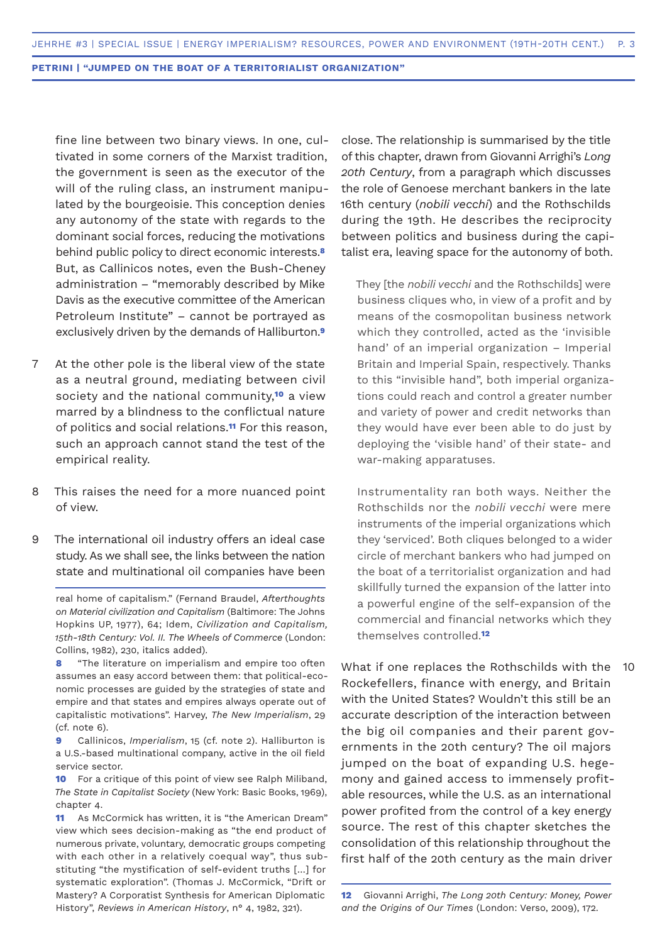fine line between two binary views. In one, cultivated in some corners of the Marxist tradition, the government is seen as the executor of the will of the ruling class, an instrument manipulated by the bourgeoisie. This conception denies any autonomy of the state with regards to the dominant social forces, reducing the motivations behind public policy to direct economic interests.**<sup>8</sup>** But, as Callinicos notes, even the Bush-Cheney administration – "memorably described by Mike Davis as the executive committee of the American Petroleum Institute" – cannot be portrayed as exclusively driven by the demands of Halliburton.**<sup>9</sup>**

- At the other pole is the liberal view of the state as a neutral ground, mediating between civil society and the national community,**10** a view marred by a blindness to the conflictual nature of politics and social relations.**11** For this reason, such an approach cannot stand the test of the empirical reality. 7
- This raises the need for a more nuanced point of view. 8
- The international oil industry offers an ideal case study. As we shall see, the links between the nation state and multinational oil companies have been 9

real home of capitalism." (Fernand Braudel, *Afterthoughts on Material civilization and Capitalism* (Baltimore: The Johns Hopkins UP, 1977), 64; Idem, *Civilization and Capitalism, 15th-18th Century: Vol. II. The Wheels of Commerce* (London: Collins, 1982), 230, italics added).

**8** "The literature on imperialism and empire too often assumes an easy accord between them: that political-economic processes are guided by the strategies of state and empire and that states and empires always operate out of capitalistic motivations". Harvey, *The New Imperialism*, 29 (cf. note 6).

**9** Callinicos, *Imperialism*, 15 (cf. note 2). Halliburton is a U.S.-based multinational company, active in the oil field service sector.

**10** For a critique of this point of view see Ralph Miliband, *The State in Capitalist Society* (New York: Basic Books, 1969), chapter 4.

**11** As McCormick has written, it is "the American Dream" view which sees decision-making as "the end product of numerous private, voluntary, democratic groups competing with each other in a relatively coequal way", thus substituting "the mystification of self-evident truths […] for systematic exploration". (Thomas J. McCormick, "Drift or Mastery? A Corporatist Synthesis for American Diplomatic History", *Reviews in American History*, n° 4, 1982, 321).

close. The relationship is summarised by the title of this chapter, drawn from Giovanni Arrighi's *Long 20th Century*, from a paragraph which discusses the role of Genoese merchant bankers in the late 16th century (*nobili vecchi*) and the Rothschilds during the 19th. He describes the reciprocity between politics and business during the capitalist era, leaving space for the autonomy of both.

They [the *nobili vecchi* and the Rothschilds] were business cliques who, in view of a profit and by means of the cosmopolitan business network which they controlled, acted as the 'invisible hand' of an imperial organization – Imperial Britain and Imperial Spain, respectively. Thanks to this "invisible hand", both imperial organizations could reach and control a greater number and variety of power and credit networks than they would have ever been able to do just by deploying the 'visible hand' of their state- and war-making apparatuses.

Instrumentality ran both ways. Neither the Rothschilds nor the *nobili vecchi* were mere instruments of the imperial organizations which they 'serviced'. Both cliques belonged to a wider circle of merchant bankers who had jumped on the boat of a territorialist organization and had skillfully turned the expansion of the latter into a powerful engine of the self-expansion of the commercial and financial networks which they themselves controlled.**<sup>12</sup>**

What if one replaces the Rothschilds with the Rockefellers, finance with energy, and Britain with the United States? Wouldn't this still be an accurate description of the interaction between the big oil companies and their parent governments in the 20th century? The oil majors jumped on the boat of expanding U.S. hegemony and gained access to immensely profitable resources, while the U.S. as an international power profited from the control of a key energy source. The rest of this chapter sketches the consolidation of this relationship throughout the first half of the 20th century as the main driver  $10$ 

**<sup>12</sup>** Giovanni Arrighi, *The Long 20th Century: Money, Power and the Origins of Our Times* (London: Verso, 2009), 172.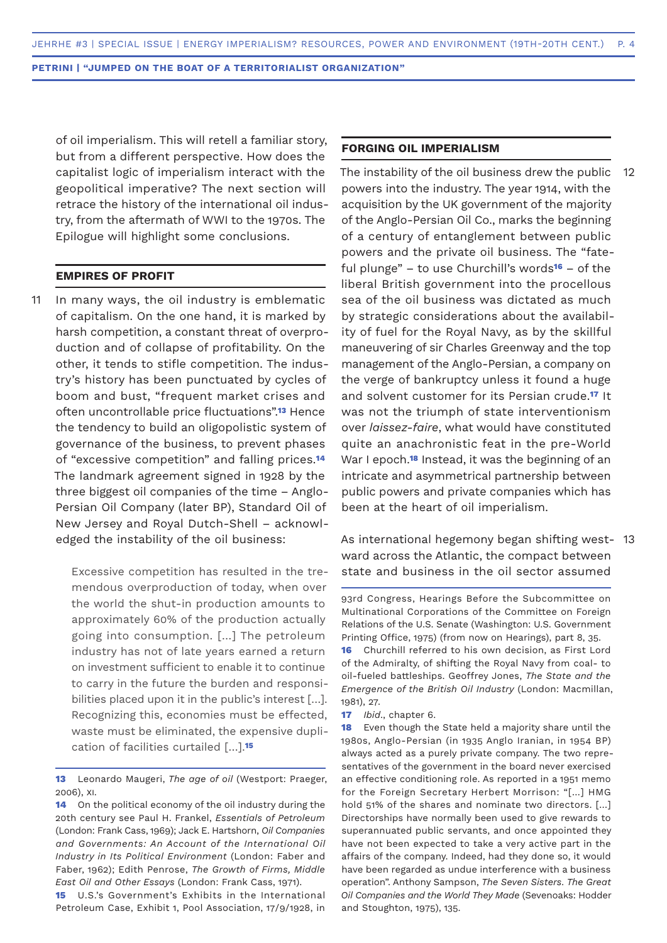of oil imperialism. This will retell a familiar story, but from a different perspective. How does the capitalist logic of imperialism interact with the geopolitical imperative? The next section will retrace the history of the international oil industry, from the aftermath of WWI to the 1970s. The Epilogue will highlight some conclusions.

# **EMPIRES OF PROFIT**

In many ways, the oil industry is emblematic of capitalism. On the one hand, it is marked by harsh competition, a constant threat of overproduction and of collapse of profitability. On the other, it tends to stifle competition. The industry's history has been punctuated by cycles of boom and bust, "frequent market crises and often uncontrollable price fluctuations".**13** Hence the tendency to build an oligopolistic system of governance of the business, to prevent phases of "excessive competition" and falling prices.**<sup>14</sup>** The landmark agreement signed in 1928 by the three biggest oil companies of the time – Anglo-Persian Oil Company (later BP), Standard Oil of New Jersey and Royal Dutch-Shell – acknowledged the instability of the oil business: 11

> Excessive competition has resulted in the tremendous overproduction of today, when over the world the shut-in production amounts to approximately 60% of the production actually going into consumption. […] The petroleum industry has not of late years earned a return on investment sufficient to enable it to continue to carry in the future the burden and responsibilities placed upon it in the public's interest [...]. Recognizing this, economies must be effected, waste must be eliminated, the expensive duplication of facilities curtailed […].**<sup>15</sup>**

**15** U.S.'s Government's Exhibits in the International Petroleum Case, Exhibit 1, Pool Association, 17/9/1928, in

# **FORGING OIL IMPERIALISM**

The instability of the oil business drew the public powers into the industry. The year 1914, with the acquisition by the UK government of the majority of the Anglo-Persian Oil Co., marks the beginning of a century of entanglement between public powers and the private oil business. The "fateful plunge" – to use Churchill's words**16** – of the liberal British government into the procellous sea of the oil business was dictated as much by strategic considerations about the availability of fuel for the Royal Navy, as by the skillful maneuvering of sir Charles Greenway and the top management of the Anglo-Persian, a company on the verge of bankruptcy unless it found a huge and solvent customer for its Persian crude.**17** It was not the triumph of state interventionism over *laissez-faire*, what would have constituted quite an anachronistic feat in the pre-World War I epoch.**18** Instead, it was the beginning of an intricate and asymmetrical partnership between public powers and private companies which has been at the heart of oil imperialism. 12

As international hegemony began shifting west-13ward across the Atlantic, the compact between state and business in the oil sector assumed

93rd Congress, Hearings Before the Subcommittee on Multinational Corporations of the Committee on Foreign Relations of the U.S. Senate (Washington: U.S. Government Printing Office, 1975) (from now on Hearings), part 8, 35. **16** Churchill referred to his own decision, as First Lord of the Admiralty, of shifting the Royal Navy from coal- to oil-fueled battleships. Geoffrey Jones, *The State and the Emergence of the British Oil Industry* (London: Macmillan, 1981), 27.

**17** *Ibid*., chapter 6.

**18** Even though the State held a majority share until the 1980s, Anglo-Persian (in 1935 Anglo Iranian, in 1954 BP) always acted as a purely private company. The two representatives of the government in the board never exercised an effective conditioning role. As reported in a 1951 memo for the Foreign Secretary Herbert Morrison: "[…] HMG hold 51% of the shares and nominate two directors. […] Directorships have normally been used to give rewards to superannuated public servants, and once appointed they have not been expected to take a very active part in the affairs of the company. Indeed, had they done so, it would have been regarded as undue interference with a business operation". Anthony Sampson, *The Seven Sisters. The Great Oil Companies and the World They Made* (Sevenoaks: Hodder and Stoughton, 1975), 135.

**<sup>13</sup>** Leonardo Maugeri, *The age of oil* (Westport: Praeger, 2006), xi.

**<sup>14</sup>** On the political economy of the oil industry during the 20th century see Paul H. Frankel, *Essentials of Petroleum*  (London: Frank Cass, 1969); Jack E. Hartshorn, *Oil Companies and Governments: An Account of the International Oil Industry in Its Political Environment* (London: Faber and Faber, 1962); Edith Penrose, *The Growth of Firms, Middle East Oil and Other Essays* (London: Frank Cass, 1971).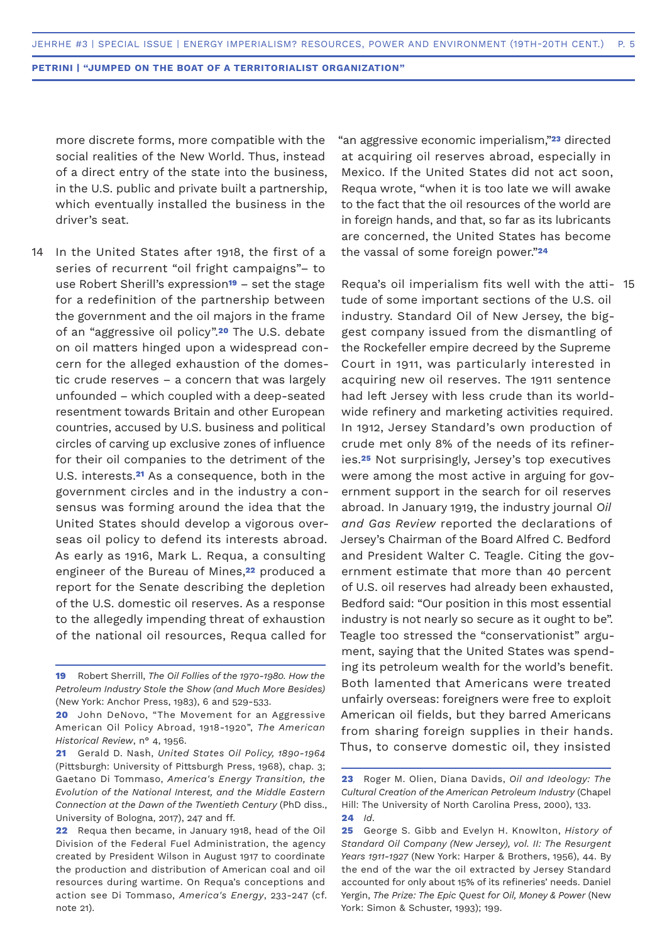more discrete forms, more compatible with the social realities of the New World. Thus, instead of a direct entry of the state into the business, in the U.S. public and private built a partnership, which eventually installed the business in the driver's seat.

In the United States after 1918, the first of a series of recurrent "oil fright campaigns"– to use Robert Sherill's expression**19** – set the stage for a redefinition of the partnership between the government and the oil majors in the frame of an "aggressive oil policy".**20** The U.S. debate on oil matters hinged upon a widespread concern for the alleged exhaustion of the domestic crude reserves – a concern that was largely unfounded – which coupled with a deep-seated resentment towards Britain and other European countries, accused by U.S. business and political circles of carving up exclusive zones of influence for their oil companies to the detriment of the U.S. interests.**21** As a consequence, both in the government circles and in the industry a consensus was forming around the idea that the United States should develop a vigorous overseas oil policy to defend its interests abroad. As early as 1916, Mark L. Requa, a consulting engineer of the Bureau of Mines,**22** produced a report for the Senate describing the depletion of the U.S. domestic oil reserves. As a response to the allegedly impending threat of exhaustion of the national oil resources, Requa called for 14

"an aggressive economic imperialism,"**23** directed at acquiring oil reserves abroad, especially in Mexico. If the United States did not act soon, Requa wrote, "when it is too late we will awake to the fact that the oil resources of the world are in foreign hands, and that, so far as its lubricants are concerned, the United States has become the vassal of some foreign power."**<sup>24</sup>**

Requa's oil imperialism fits well with the atti-15tude of some important sections of the U.S. oil industry. Standard Oil of New Jersey, the biggest company issued from the dismantling of the Rockefeller empire decreed by the Supreme Court in 1911, was particularly interested in acquiring new oil reserves. The 1911 sentence had left Jersey with less crude than its worldwide refinery and marketing activities required. In 1912, Jersey Standard's own production of crude met only 8% of the needs of its refineries.**25** Not surprisingly, Jersey's top executives were among the most active in arguing for government support in the search for oil reserves abroad. In January 1919, the industry journal *Oil and Gas Review* reported the declarations of Jersey's Chairman of the Board Alfred C. Bedford and President Walter C. Teagle. Citing the government estimate that more than 40 percent of U.S. oil reserves had already been exhausted, Bedford said: "Our position in this most essential industry is not nearly so secure as it ought to be". Teagle too stressed the "conservationist" argument, saying that the United States was spending its petroleum wealth for the world's benefit. Both lamented that Americans were treated unfairly overseas: foreigners were free to exploit American oil fields, but they barred Americans from sharing foreign supplies in their hands. Thus, to conserve domestic oil, they insisted

**<sup>19</sup>** Robert Sherrill, *The Oil Follies of the 1970-1980. How the Petroleum Industry Stole the Show (and Much More Besides)* (New York: Anchor Press, 1983), 6 and 529-533.

**<sup>20</sup>** John DeNovo, "The Movement for an Aggressive American Oil Policy Abroad, 1918-1920", *The American Historical Review*, n° 4, 1956.

**<sup>21</sup>** Gerald D. Nash, *United States Oil Policy, 1890-1964* (Pittsburgh: University of Pittsburgh Press, 1968), chap. 3; Gaetano Di Tommaso, *America's Energy Transition, the Evolution of the National Interest, and the Middle Eastern Connection at the Dawn of the Twentieth Century* (PhD diss., University of Bologna, 2017), 247 and ff.

**<sup>22</sup>** Requa then became, in January 1918, head of the Oil Division of the Federal Fuel Administration, the agency created by President Wilson in August 1917 to coordinate the production and distribution of American coal and oil resources during wartime. On Requa's conceptions and action see Di Tommaso, *America's Energy*, 233-247 (cf. note 21).

**<sup>23</sup>** Roger M. Olien, Diana Davids, *Oil and Ideology: The Cultural Creation of the American Petroleum Industry* (Chapel Hill: The University of North Carolina Press, 2000), 133. **24** *Id*.

**<sup>25</sup>** George S. Gibb and Evelyn H. Knowlton, *History of Standard Oil Company (New Jersey), vol. II: The Resurgent Years 1911-1927* (New York: Harper & Brothers, 1956), 44. By the end of the war the oil extracted by Jersey Standard accounted for only about 15% of its refineries' needs. Daniel Yergin, *The Prize: The Epic Quest for Oil, Money & Power* (New York: Simon & Schuster, 1993); 199.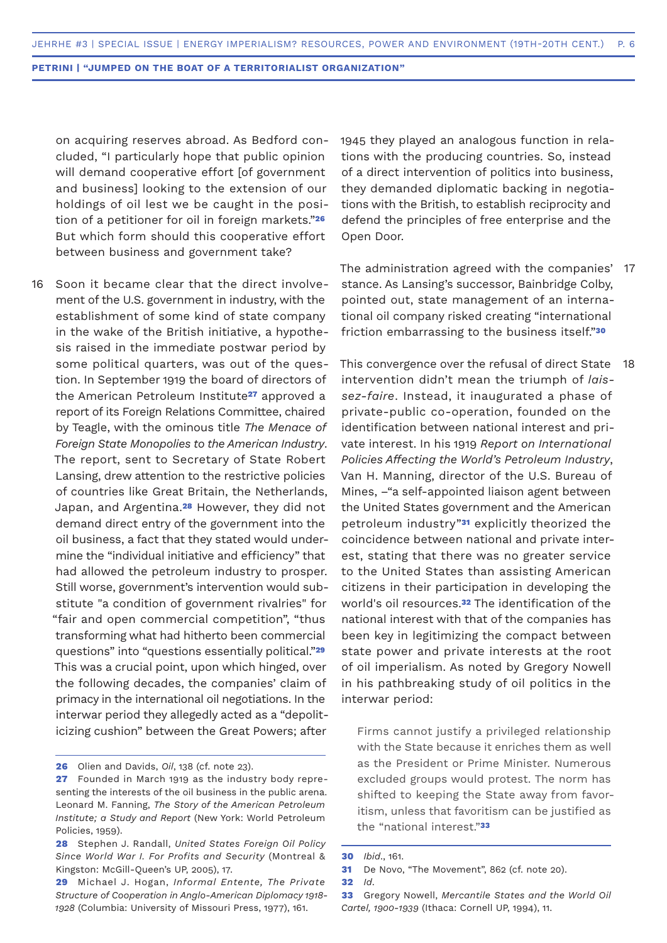on acquiring reserves abroad. As Bedford concluded, "I particularly hope that public opinion will demand cooperative effort [of government and business] looking to the extension of our holdings of oil lest we be caught in the position of a petitioner for oil in foreign markets."**<sup>26</sup>** But which form should this cooperative effort between business and government take?

16 Soon it became clear that the direct involvement of the U.S. government in industry, with the establishment of some kind of state company in the wake of the British initiative, a hypothesis raised in the immediate postwar period by some political quarters, was out of the question. In September 1919 the board of directors of the American Petroleum Institute**27** approved a report of its Foreign Relations Committee, chaired by Teagle, with the ominous title *The Menace of Foreign State Monopolies to the American Industry*. The report, sent to Secretary of State Robert Lansing, drew attention to the restrictive policies of countries like Great Britain, the Netherlands, Japan, and Argentina.**28** However, they did not demand direct entry of the government into the oil business, a fact that they stated would undermine the "individual initiative and efficiency" that had allowed the petroleum industry to prosper. Still worse, government's intervention would substitute "a condition of government rivalries" for "fair and open commercial competition", "thus transforming what had hitherto been commercial questions" into "questions essentially political."**<sup>29</sup>** This was a crucial point, upon which hinged, over the following decades, the companies' claim of primacy in the international oil negotiations. In the interwar period they allegedly acted as a "depoliticizing cushion" between the Great Powers; after

1945 they played an analogous function in relations with the producing countries. So, instead of a direct intervention of politics into business, they demanded diplomatic backing in negotiations with the British, to establish reciprocity and defend the principles of free enterprise and the Open Door.

The administration agreed with the companies' 17 stance. As Lansing's successor, Bainbridge Colby, pointed out, state management of an international oil company risked creating "international friction embarrassing to the business itself."**<sup>30</sup>**

This convergence over the refusal of direct State intervention didn't mean the triumph of *laissez-faire*. Instead, it inaugurated a phase of private-public co-operation, founded on the identification between national interest and private interest. In his 1919 *Report on International Policies Affecting the World's Petroleum Industry*, Van H. Manning, director of the U.S. Bureau of Mines, –"a self-appointed liaison agent between the United States government and the American petroleum industry"**31** explicitly theorized the coincidence between national and private interest, stating that there was no greater service to the United States than assisting American citizens in their participation in developing the world's oil resources.**32** The identification of the national interest with that of the companies has been key in legitimizing the compact between state power and private interests at the root of oil imperialism. As noted by Gregory Nowell in his pathbreaking study of oil politics in the interwar period: 18

Firms cannot justify a privileged relationship with the State because it enriches them as well as the President or Prime Minister. Numerous excluded groups would protest. The norm has shifted to keeping the State away from favoritism, unless that favoritism can be justified as the "national interest."**<sup>33</sup>**

**<sup>26</sup>** Olien and Davids, *Oil*, 138 (cf. note 23).

**<sup>27</sup>** Founded in March 1919 as the industry body representing the interests of the oil business in the public arena. Leonard M. Fanning, *The Story of the American Petroleum Institute; a Study and Report* (New York: World Petroleum Policies, 1959).

**<sup>28</sup>** Stephen J. Randall, *United States Foreign Oil Policy Since World War I. For Profits and Security* (Montreal & Kingston: McGill-Queen's UP, 2005), 17.

**<sup>29</sup>** Michael J. Hogan, *Informal Entente, The Private Structure of Cooperation in Anglo-American Diplomacy 1918- 1928* (Columbia: University of Missouri Press, 1977), 161.

**<sup>30</sup>** *Ibid*., 161.

**<sup>31</sup>** De Novo, "The Movement", 862 (cf. note 20).

**<sup>32</sup>** *Id*.

**<sup>33</sup>** Gregory Nowell, *Mercantile States and the World Oil Cartel, 1900-1939* (Ithaca: Cornell UP, 1994), 11.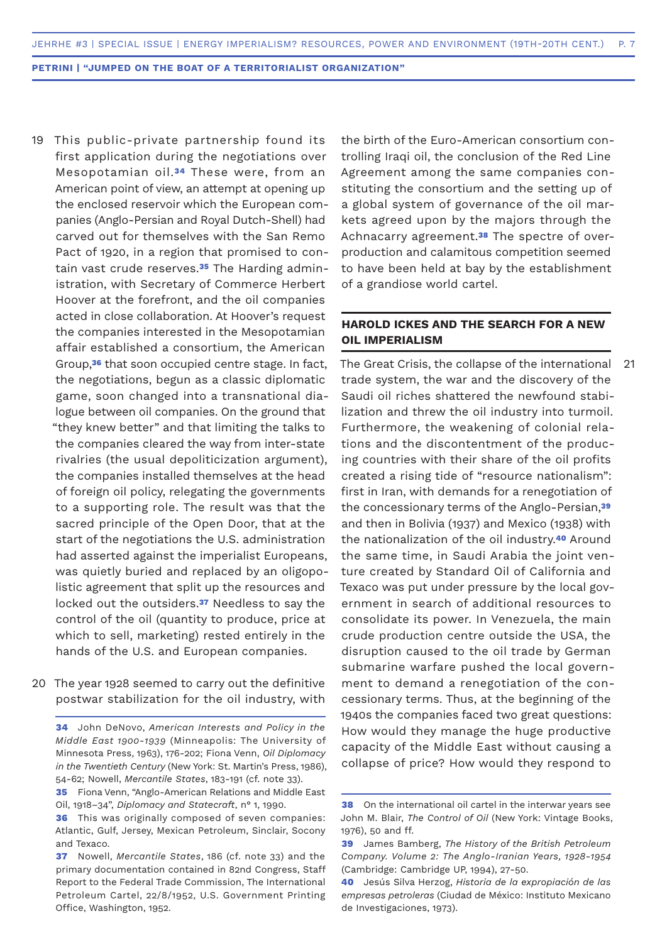- 19 This public-private partnership found its first application during the negotiations over Mesopotamian oil.**34** These were, from an American point of view, an attempt at opening up the enclosed reservoir which the European companies (Anglo-Persian and Royal Dutch-Shell) had carved out for themselves with the San Remo Pact of 1920, in a region that promised to contain vast crude reserves.**35** The Harding administration, with Secretary of Commerce Herbert Hoover at the forefront, and the oil companies acted in close collaboration. At Hoover's request the companies interested in the Mesopotamian affair established a consortium, the American Group,**36** that soon occupied centre stage. In fact, the negotiations, begun as a classic diplomatic game, soon changed into a transnational dialogue between oil companies. On the ground that "they knew better" and that limiting the talks to the companies cleared the way from inter-state rivalries (the usual depoliticization argument), the companies installed themselves at the head of foreign oil policy, relegating the governments to a supporting role. The result was that the sacred principle of the Open Door, that at the start of the negotiations the U.S. administration had asserted against the imperialist Europeans, was quietly buried and replaced by an oligopolistic agreement that split up the resources and locked out the outsiders.**37** Needless to say the control of the oil (quantity to produce, price at which to sell, marketing) rested entirely in the hands of the U.S. and European companies.
- 20 The year 1928 seemed to carry out the definitive postwar stabilization for the oil industry, with

**35** Fiona Venn, "Anglo-American Relations and Middle East Oil, 1918–34", *Diplomacy and Statecraft*, n° 1, 1990.

the birth of the Euro-American consortium controlling Iraqi oil, the conclusion of the Red Line Agreement among the same companies constituting the consortium and the setting up of a global system of governance of the oil markets agreed upon by the majors through the Achnacarry agreement.**38** The spectre of overproduction and calamitous competition seemed to have been held at bay by the establishment of a grandiose world cartel.

# **HAROLD ICKES AND THE SEARCH FOR A NEW OIL IMPERIALISM**

The Great Crisis, the collapse of the international trade system, the war and the discovery of the Saudi oil riches shattered the newfound stabilization and threw the oil industry into turmoil. Furthermore, the weakening of colonial relations and the discontentment of the producing countries with their share of the oil profits created a rising tide of "resource nationalism": first in Iran, with demands for a renegotiation of the concessionary terms of the Anglo-Persian,**<sup>39</sup>** and then in Bolivia (1937) and Mexico (1938) with the nationalization of the oil industry.**40** Around the same time, in Saudi Arabia the joint venture created by Standard Oil of California and Texaco was put under pressure by the local government in search of additional resources to consolidate its power. In Venezuela, the main crude production centre outside the USA, the disruption caused to the oil trade by German submarine warfare pushed the local government to demand a renegotiation of the concessionary terms. Thus, at the beginning of the 1940s the companies faced two great questions: How would they manage the huge productive capacity of the Middle East without causing a collapse of price? How would they respond to 21

**<sup>34</sup>** John DeNovo, *American Interests and Policy in the Middle East 1900-1939* (Minneapolis: The University of Minnesota Press, 1963), 176-202; Fiona Venn, *Oil Diplomacy in the Twentieth Century* (New York: St. Martin's Press, 1986), 54-62; Nowell, *Mercantile States*, 183-191 (cf. note 33).

**<sup>36</sup>** This was originally composed of seven companies: Atlantic, Gulf, Jersey, Mexican Petroleum, Sinclair, Socony and Texaco.

**<sup>37</sup>** Nowell, *Mercantile States*, 186 (cf. note 33) and the primary documentation contained in 82nd Congress, Staff Report to the Federal Trade Commission, The International Petroleum Cartel, 22/8/1952, U.S. Government Printing Office, Washington, 1952.

**<sup>38</sup>** On the international oil cartel in the interwar years see John M. Blair, *The Control of Oil* (New York: Vintage Books, 1976), 50 and ff.

**<sup>39</sup>** James Bamberg, *The History of the British Petroleum Company. Volume 2: The Anglo-Iranian Years, 1928-1954* (Cambridge: Cambridge UP, 1994), 27-50.

**<sup>40</sup>** Jesús Silva Herzog, *Historia de la expropiación de las empresas petroleras* (Ciudad de México: Instituto Mexicano de Investigaciones, 1973).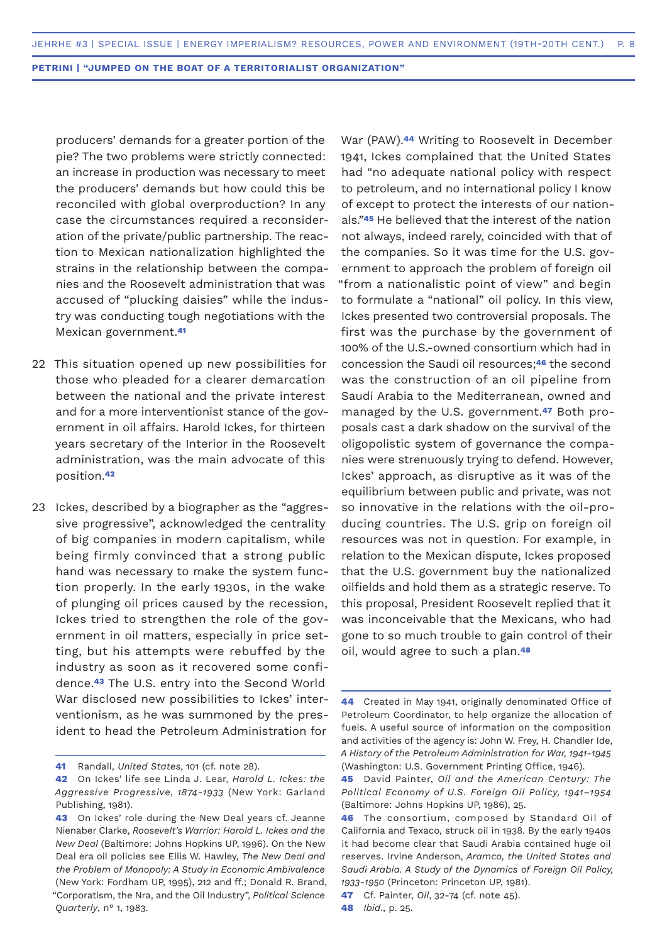producers' demands for a greater portion of the pie? The two problems were strictly connected: an increase in production was necessary to meet the producers' demands but how could this be reconciled with global overproduction? In any case the circumstances required a reconsideration of the private/public partnership. The reaction to Mexican nationalization highlighted the strains in the relationship between the companies and the Roosevelt administration that was accused of "plucking daisies" while the industry was conducting tough negotiations with the Mexican government.**<sup>41</sup>**

- 22 This situation opened up new possibilities for those who pleaded for a clearer demarcation between the national and the private interest and for a more interventionist stance of the government in oil affairs. Harold Ickes, for thirteen years secretary of the Interior in the Roosevelt administration, was the main advocate of this position.**<sup>42</sup>**
- Ickes, described by a biographer as the "aggres-23sive progressive", acknowledged the centrality of big companies in modern capitalism, while being firmly convinced that a strong public hand was necessary to make the system function properly. In the early 1930s, in the wake of plunging oil prices caused by the recession, Ickes tried to strengthen the role of the government in oil matters, especially in price setting, but his attempts were rebuffed by the industry as soon as it recovered some confidence.**43** The U.S. entry into the Second World War disclosed new possibilities to Ickes' interventionism, as he was summoned by the president to head the Petroleum Administration for

War (PAW).**44** Writing to Roosevelt in December 1941, Ickes complained that the United States had "no adequate national policy with respect to petroleum, and no international policy I know of except to protect the interests of our nationals."**45** He believed that the interest of the nation not always, indeed rarely, coincided with that of the companies. So it was time for the U.S. government to approach the problem of foreign oil "from a nationalistic point of view" and begin to formulate a "national" oil policy. In this view, Ickes presented two controversial proposals. The first was the purchase by the government of 100% of the U.S.-owned consortium which had in concession the Saudi oil resources;**46** the second was the construction of an oil pipeline from Saudi Arabia to the Mediterranean, owned and managed by the U.S. government.**47** Both proposals cast a dark shadow on the survival of the oligopolistic system of governance the companies were strenuously trying to defend. However, Ickes' approach, as disruptive as it was of the equilibrium between public and private, was not so innovative in the relations with the oil-producing countries. The U.S. grip on foreign oil resources was not in question. For example, in relation to the Mexican dispute, Ickes proposed that the U.S. government buy the nationalized oilfields and hold them as a strategic reserve. To this proposal, President Roosevelt replied that it was inconceivable that the Mexicans, who had gone to so much trouble to gain control of their oil, would agree to such a plan.**<sup>48</sup>**

**<sup>41</sup>** Randall, *United States*, 101 (cf. note 28).

**<sup>42</sup>** On Ickes' life see Linda J. Lear, *Harold L. Ickes: the Aggressive Progressive, 1874-1933* (New York: Garland Publishing, 1981).

**<sup>43</sup>** On Ickes' role during the New Deal years cf. Jeanne Nienaber Clarke, *Roosevelt's Warrior: Harold L. Ickes and the New Deal* (Baltimore: Johns Hopkins UP, 1996). On the New Deal era oil policies see Ellis W. Hawley, *The New Deal and the Problem of Monopoly: A Study in Economic Ambivalence*  (New York: Fordham UP, 1995), 212 and ff.; Donald R. Brand, "Corporatism, the Nra, and the Oil Industry", *Political Science Quarterly*, n° 1, 1983.

**<sup>44</sup>** Created in May 1941, originally denominated Office of Petroleum Coordinator, to help organize the allocation of fuels. A useful source of information on the composition and activities of the agency is: John W. Frey, H. Chandler Ide, *A History of the Petroleum Administration for War, 1941-1945*  (Washington: U.S. Government Printing Office, 1946).

**<sup>45</sup>** David Painter, *Oil and the American Century: The Political Economy of U.S. Foreign Oil Policy, 1941–1954* (Baltimore: Johns Hopkins UP, 1986), 25.

**<sup>46</sup>** The consortium, composed by Standard Oil of California and Texaco, struck oil in 1938. By the early 1940s it had become clear that Saudi Arabia contained huge oil reserves. Irvine Anderson, *Aramco, the United States and Saudi Arabia. A Study of the Dynamics of Foreign Oil Policy, 1933-1950* (Princeton: Princeton UP, 1981).

**<sup>47</sup>** Cf. Painter, *Oil*, 32-74 (cf. note 45).

**<sup>48</sup>** *Ibid*., p. 25.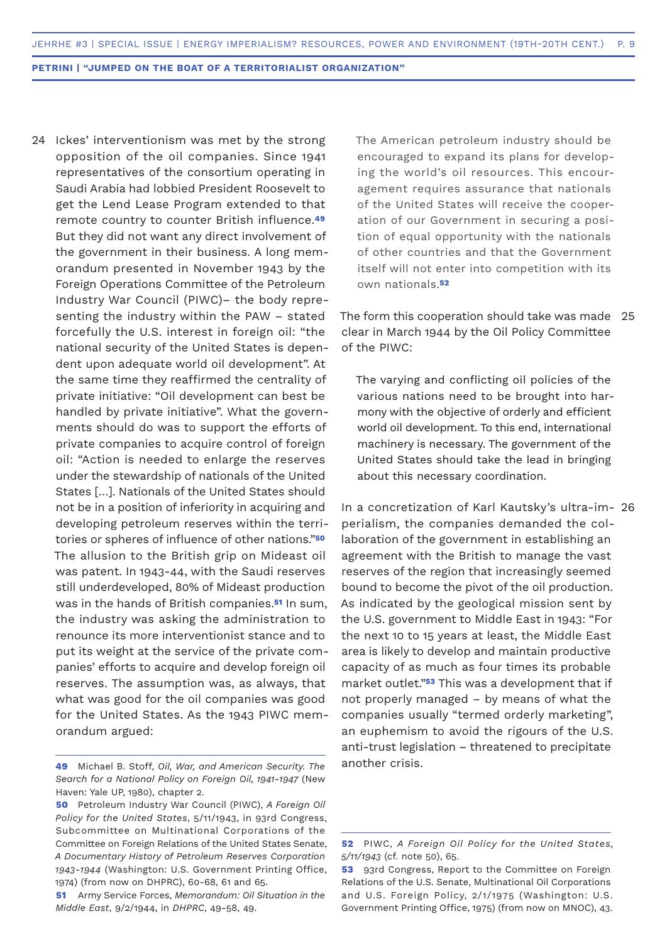24 Ickes' interventionism was met by the strong opposition of the oil companies. Since 1941 representatives of the consortium operating in Saudi Arabia had lobbied President Roosevelt to get the Lend Lease Program extended to that remote country to counter British influence.**<sup>49</sup>** But they did not want any direct involvement of the government in their business. A long memorandum presented in November 1943 by the Foreign Operations Committee of the Petroleum Industry War Council (PIWC)– the body representing the industry within the PAW – stated forcefully the U.S. interest in foreign oil: "the national security of the United States is dependent upon adequate world oil development". At the same time they reaffirmed the centrality of private initiative: "Oil development can best be handled by private initiative". What the governments should do was to support the efforts of private companies to acquire control of foreign oil: "Action is needed to enlarge the reserves under the stewardship of nationals of the United States […]. Nationals of the United States should not be in a position of inferiority in acquiring and developing petroleum reserves within the territories or spheres of influence of other nations."**<sup>50</sup>** The allusion to the British grip on Mideast oil was patent. In 1943-44, with the Saudi reserves still underdeveloped, 80% of Mideast production was in the hands of British companies.**51** In sum, the industry was asking the administration to renounce its more interventionist stance and to put its weight at the service of the private companies' efforts to acquire and develop foreign oil reserves. The assumption was, as always, that what was good for the oil companies was good for the United States. As the 1943 PIWC memorandum argued:

The American petroleum industry should be encouraged to expand its plans for developing the world's oil resources. This encouragement requires assurance that nationals of the United States will receive the cooperation of our Government in securing a position of equal opportunity with the nationals of other countries and that the Government itself will not enter into competition with its own nationals.**<sup>52</sup>**

The form this cooperation should take was made 25 clear in March 1944 by the Oil Policy Committee of the PIWC:

The varying and conflicting oil policies of the various nations need to be brought into harmony with the objective of orderly and efficient world oil development. To this end, international machinery is necessary. The government of the United States should take the lead in bringing about this necessary coordination.

In a concretization of Karl Kautsky's ultra-im-26perialism, the companies demanded the collaboration of the government in establishing an agreement with the British to manage the vast reserves of the region that increasingly seemed bound to become the pivot of the oil production. As indicated by the geological mission sent by the U.S. government to Middle East in 1943: "For the next 10 to 15 years at least, the Middle East area is likely to develop and maintain productive capacity of as much as four times its probable market outlet."**53** This was a development that if not properly managed – by means of what the companies usually "termed orderly marketing", an euphemism to avoid the rigours of the U.S. anti-trust legislation – threatened to precipitate another crisis.

**<sup>49</sup>** Michael B. Stoff, *Oil, War, and American Security. The Search for a National Policy on Foreign Oil, 1941-1947* (New Haven: Yale UP, 1980), chapter 2.

**<sup>50</sup>** Petroleum Industry War Council (PIWC), *A Foreign Oil Policy for the United States*, 5/11/1943, in 93rd Congress, Subcommittee on Multinational Corporations of the Committee on Foreign Relations of the United States Senate, *A Documentary History of Petroleum Reserves Corporation 1943-1944* (Washington: U.S. Government Printing Office, 1974) (from now on DHPRC), 60-68, 61 and 65.

**<sup>51</sup>** Army Service Forces, *Memorandum: Oil Situation in the Middle East*, 9/2/1944, in *DHPRC*, 49-58, 49.

**<sup>52</sup>** PIWC, *A Foreign Oil Policy for the United States, 5/11/1943* (cf. note 50), 65.

**<sup>53</sup>** 93rd Congress, Report to the Committee on Foreign Relations of the U.S. Senate, Multinational Oil Corporations and U.S. Foreign Policy, 2/1/1975 (Washington: U.S. Government Printing Office, 1975) (from now on MNOC), 43.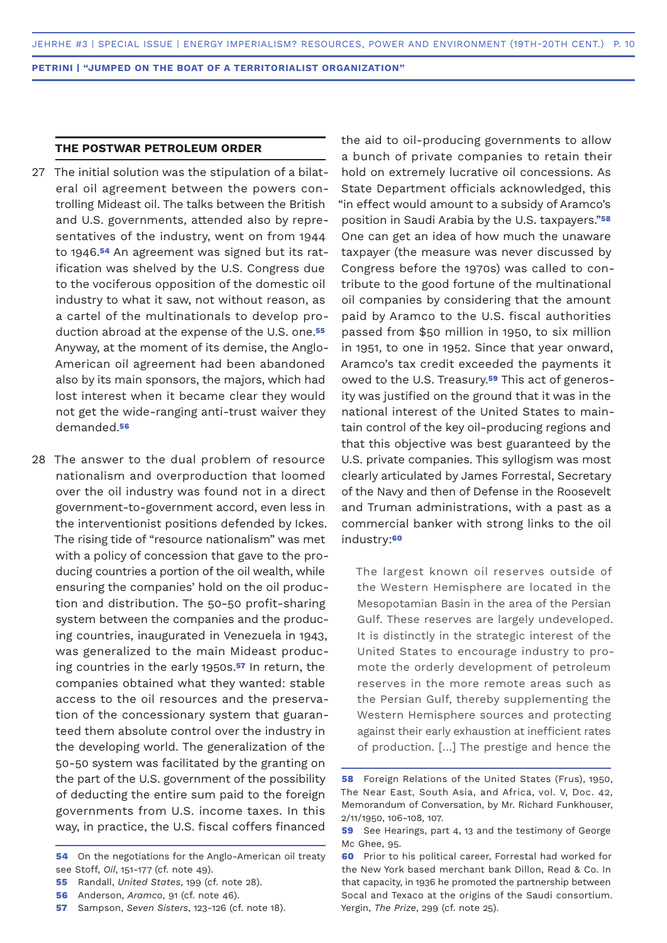# **THE POSTWAR PETROLEUM ORDER**

- The initial solution was the stipulation of a bilat-27 eral oil agreement between the powers controlling Mideast oil. The talks between the British and U.S. governments, attended also by representatives of the industry, went on from 1944 to 1946.**54** An agreement was signed but its ratification was shelved by the U.S. Congress due to the vociferous opposition of the domestic oil industry to what it saw, not without reason, as a cartel of the multinationals to develop production abroad at the expense of the U.S. one.**<sup>55</sup>** Anyway, at the moment of its demise, the Anglo-American oil agreement had been abandoned also by its main sponsors, the majors, which had lost interest when it became clear they would not get the wide-ranging anti-trust waiver they demanded.**<sup>56</sup>**
- 28 The answer to the dual problem of resource nationalism and overproduction that loomed over the oil industry was found not in a direct government-to-government accord, even less in the interventionist positions defended by Ickes. The rising tide of "resource nationalism" was met with a policy of concession that gave to the producing countries a portion of the oil wealth, while ensuring the companies' hold on the oil production and distribution. The 50-50 profit-sharing system between the companies and the producing countries, inaugurated in Venezuela in 1943, was generalized to the main Mideast producing countries in the early 1950s.**57** In return, the companies obtained what they wanted: stable access to the oil resources and the preservation of the concessionary system that guaranteed them absolute control over the industry in the developing world. The generalization of the 50-50 system was facilitated by the granting on the part of the U.S. government of the possibility of deducting the entire sum paid to the foreign governments from U.S. income taxes. In this way, in practice, the U.S. fiscal coffers financed

**55** Randall, *United States*, 199 (cf. note 28).

the aid to oil-producing governments to allow a bunch of private companies to retain their hold on extremely lucrative oil concessions. As State Department officials acknowledged, this "in effect would amount to a subsidy of Aramco's position in Saudi Arabia by the U.S. taxpayers."**<sup>58</sup>** One can get an idea of how much the unaware taxpayer (the measure was never discussed by Congress before the 1970s) was called to contribute to the good fortune of the multinational oil companies by considering that the amount paid by Aramco to the U.S. fiscal authorities passed from \$50 million in 1950, to six million in 1951, to one in 1952. Since that year onward, Aramco's tax credit exceeded the payments it owed to the U.S. Treasury.**59** This act of generosity was justified on the ground that it was in the national interest of the United States to maintain control of the key oil-producing regions and that this objective was best guaranteed by the U.S. private companies. This syllogism was most clearly articulated by James Forrestal, Secretary of the Navy and then of Defense in the Roosevelt and Truman administrations, with a past as a commercial banker with strong links to the oil industry:**<sup>60</sup>**

The largest known oil reserves outside of the Western Hemisphere are located in the Mesopotamian Basin in the area of the Persian Gulf. These reserves are largely undeveloped. It is distinctly in the strategic interest of the United States to encourage industry to promote the orderly development of petroleum reserves in the more remote areas such as the Persian Gulf, thereby supplementing the Western Hemisphere sources and protecting against their early exhaustion at inefficient rates of production. […] The prestige and hence the

**<sup>54</sup>** On the negotiations for the Anglo-American oil treaty see Stoff, *Oil*, 151-177 (cf. note 49).

**<sup>56</sup>** Anderson, *Aramco*, 91 (cf. note 46).

**<sup>57</sup>** Sampson, *Seven Sisters*, 123-126 (cf. note 18).

**<sup>58</sup>** Foreign Relations of the United States (Frus), 1950, The Near East, South Asia, and Africa, vol. V, Doc. 42, Memorandum of Conversation, by Mr. Richard Funkhouser, 2/11/1950, 106-108, 107.

**<sup>59</sup>** See Hearings, part 4, 13 and the testimony of George Mc Ghee, 95.

**<sup>60</sup>** Prior to his political career, Forrestal had worked for the New York based merchant bank Dillon, Read & Co. In that capacity, in 1936 he promoted the partnership between Socal and Texaco at the origins of the Saudi consortium. Yergin, *The Prize*, 299 (cf. note 25).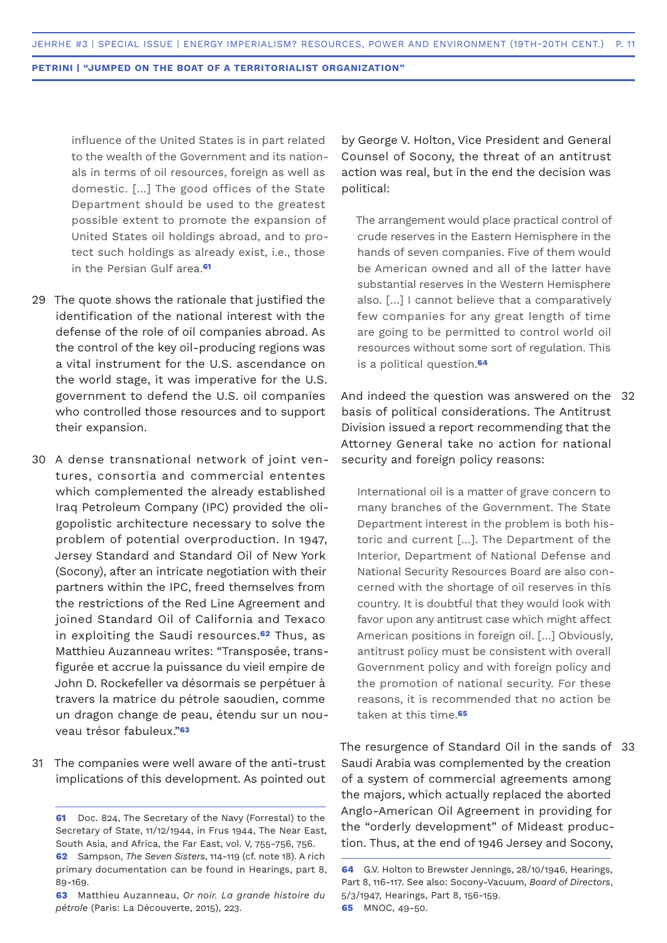influence of the United States is in part related to the wealth of the Government and its nationals in terms of oil resources, foreign as well as domestic. […] The good offices of the State Department should be used to the greatest possible extent to promote the expansion of United States oil holdings abroad, and to protect such holdings as already exist, i.e., those in the Persian Gulf area.**<sup>61</sup>**

- 29 The quote shows the rationale that justified the identification of the national interest with the defense of the role of oil companies abroad. As the control of the key oil-producing regions was a vital instrument for the U.S. ascendance on the world stage, it was imperative for the U.S. government to defend the U.S. oil companies who controlled those resources and to support their expansion.
- 30 A dense transnational network of joint ventures, consortia and commercial ententes which complemented the already established Iraq Petroleum Company (IPC) provided the oligopolistic architecture necessary to solve the problem of potential overproduction. In 1947, Jersey Standard and Standard Oil of New York (Socony), after an intricate negotiation with their partners within the IPC, freed themselves from the restrictions of the Red Line Agreement and joined Standard Oil of California and Texaco in exploiting the Saudi resources.**62** Thus, as Matthieu Auzanneau writes: "Transposée, transfigurée et accrue la puissance du vieil empire de John D. Rockefeller va désormais se perpétuer à travers la matrice du pétrole saoudien, comme un dragon change de peau, étendu sur un nouveau trésor fabuleux."**<sup>63</sup>**
- 31 The companies were well aware of the anti-trust implications of this development. As pointed out

by George V. Holton, Vice President and General Counsel of Socony, the threat of an antitrust action was real, but in the end the decision was political:

The arrangement would place practical control of crude reserves in the Eastern Hemisphere in the hands of seven companies. Five of them would be American owned and all of the latter have substantial reserves in the Western Hemisphere also. […] I cannot believe that a comparatively few companies for any great length of time are going to be permitted to control world oil resources without some sort of regulation. This is a political question.**<sup>64</sup>**

And indeed the question was answered on the 32 basis of political considerations. The Antitrust Division issued a report recommending that the Attorney General take no action for national security and foreign policy reasons:

International oil is a matter of grave concern to many branches of the Government. The State Department interest in the problem is both historic and current […]. The Department of the Interior, Department of National Defense and National Security Resources Board are also concerned with the shortage of oil reserves in this country. It is doubtful that they would look with favor upon any antitrust case which might affect American positions in foreign oil. […] Obviously, antitrust policy must be consistent with overall Government policy and with foreign policy and the promotion of national security. For these reasons, it is recommended that no action be taken at this time.**<sup>65</sup>**

The resurgence of Standard Oil in the sands of 33Saudi Arabia was complemented by the creation of a system of commercial agreements among the majors, which actually replaced the aborted Anglo-American Oil Agreement in providing for the "orderly development" of Mideast production. Thus, at the end of 1946 Jersey and Socony,

**<sup>61</sup>** Doc. 824, The Secretary of the Navy (Forrestal) to the Secretary of State, 11/12/1944, in Frus 1944, The Near East, South Asia, and Africa, the Far East, vol. V, 755-756, 756. **62** Sampson, *The Seven Sisters*, 114-119 (cf. note 18). A rich

primary documentation can be found in Hearings, part 8, 89-169.

**<sup>63</sup>** Matthieu Auzanneau, *Or noir. La grande histoire du pétrole* (Paris: La Découverte, 2015), 223.

**<sup>64</sup>** G.V. Holton to Brewster Jennings, 28/10/1946, Hearings, Part 8, 116-117. See also: Socony-Vacuum, *Board of Directors*, 5/3/1947, Hearings, Part 8, 156-159. **65** MNOC, 49-50.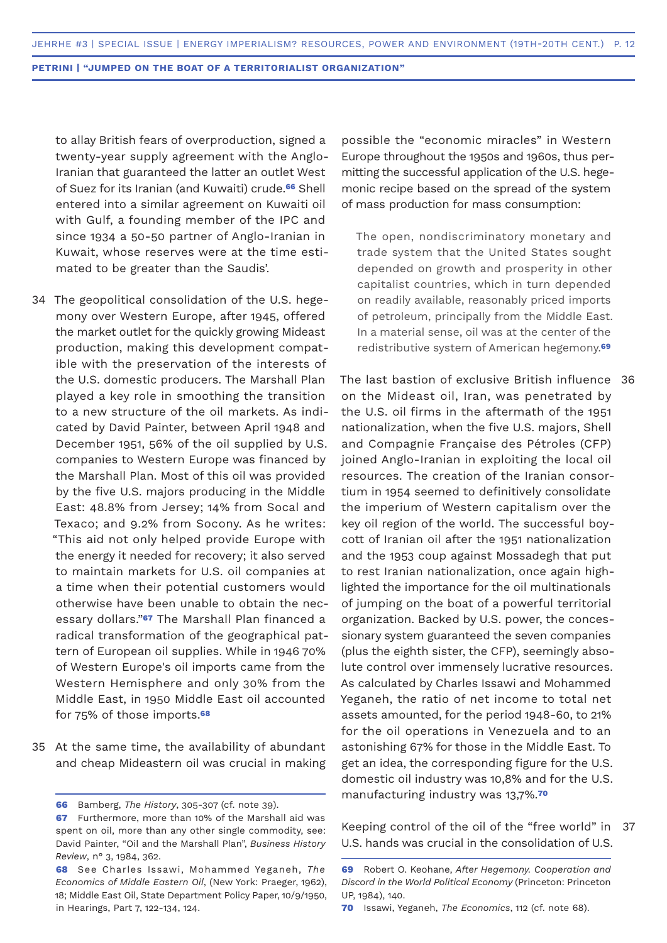to allay British fears of overproduction, signed a twenty-year supply agreement with the Anglo-Iranian that guaranteed the latter an outlet West of Suez for its Iranian (and Kuwaiti) crude.**66** Shell entered into a similar agreement on Kuwaiti oil with Gulf, a founding member of the IPC and since 1934 a 50-50 partner of Anglo-Iranian in Kuwait, whose reserves were at the time estimated to be greater than the Saudis'.

- The geopolitical consolidation of the U.S. hege-34 mony over Western Europe, after 1945, offered the market outlet for the quickly growing Mideast production, making this development compatible with the preservation of the interests of the U.S. domestic producers. The Marshall Plan played a key role in smoothing the transition to a new structure of the oil markets. As indicated by David Painter, between April 1948 and December 1951, 56% of the oil supplied by U.S. companies to Western Europe was financed by the Marshall Plan. Most of this oil was provided by the five U.S. majors producing in the Middle East: 48.8% from Jersey; 14% from Socal and Texaco; and 9.2% from Socony. As he writes: "This aid not only helped provide Europe with the energy it needed for recovery; it also served to maintain markets for U.S. oil companies at a time when their potential customers would otherwise have been unable to obtain the necessary dollars."**67** The Marshall Plan financed a radical transformation of the geographical pattern of European oil supplies. While in 1946 70% of Western Europe's oil imports came from the Western Hemisphere and only 30% from the Middle East, in 1950 Middle East oil accounted for 75% of those imports.**<sup>68</sup>**
- 35 At the same time, the availability of abundant and cheap Mideastern oil was crucial in making

possible the "economic miracles" in Western Europe throughout the 1950s and 1960s, thus permitting the successful application of the U.S. hegemonic recipe based on the spread of the system of mass production for mass consumption:

The open, nondiscriminatory monetary and trade system that the United States sought depended on growth and prosperity in other capitalist countries, which in turn depended on readily available, reasonably priced imports of petroleum, principally from the Middle East. In a material sense, oil was at the center of the redistributive system of American hegemony.**<sup>69</sup>**

The last bastion of exclusive British influence 36 on the Mideast oil, Iran, was penetrated by the U.S. oil firms in the aftermath of the 1951 nationalization, when the five U.S. majors, Shell and Compagnie Française des Pétroles (CFP) joined Anglo-Iranian in exploiting the local oil resources. The creation of the Iranian consortium in 1954 seemed to definitively consolidate the imperium of Western capitalism over the key oil region of the world. The successful boycott of Iranian oil after the 1951 nationalization and the 1953 coup against Mossadegh that put to rest Iranian nationalization, once again highlighted the importance for the oil multinationals of jumping on the boat of a powerful territorial organization. Backed by U.S. power, the concessionary system guaranteed the seven companies (plus the eighth sister, the CFP), seemingly absolute control over immensely lucrative resources. As calculated by Charles Issawi and Mohammed Yeganeh, the ratio of net income to total net assets amounted, for the period 1948-60, to 21% for the oil operations in Venezuela and to an astonishing 67% for those in the Middle East. To get an idea, the corresponding figure for the U.S. domestic oil industry was 10,8% and for the U.S. manufacturing industry was 13,7%.**<sup>70</sup>**

Keeping control of the oil of the "free world" in 37U.S. hands was crucial in the consolidation of U.S.

**<sup>66</sup>** Bamberg, *The History*, 305-307 (cf. note 39).

**<sup>67</sup>** Furthermore, more than 10% of the Marshall aid was spent on oil, more than any other single commodity, see: David Painter, "Oil and the Marshall Plan", *Business History Review*, n° 3, 1984, 362.

**<sup>68</sup>** See Charles Issawi, Mohammed Yeganeh, *The Economics of Middle Eastern Oil*, (New York: Praeger, 1962), 18; Middle East Oil, State Department Policy Paper, 10/9/1950, in Hearings, Part 7, 122-134, 124.

**<sup>69</sup>** Robert O. Keohane, *After Hegemony. Cooperation and Discord in the World Political Economy* (Princeton: Princeton UP, 1984), 140.

**<sup>70</sup>** Issawi, Yeganeh, *The Economics*, 112 (cf. note 68).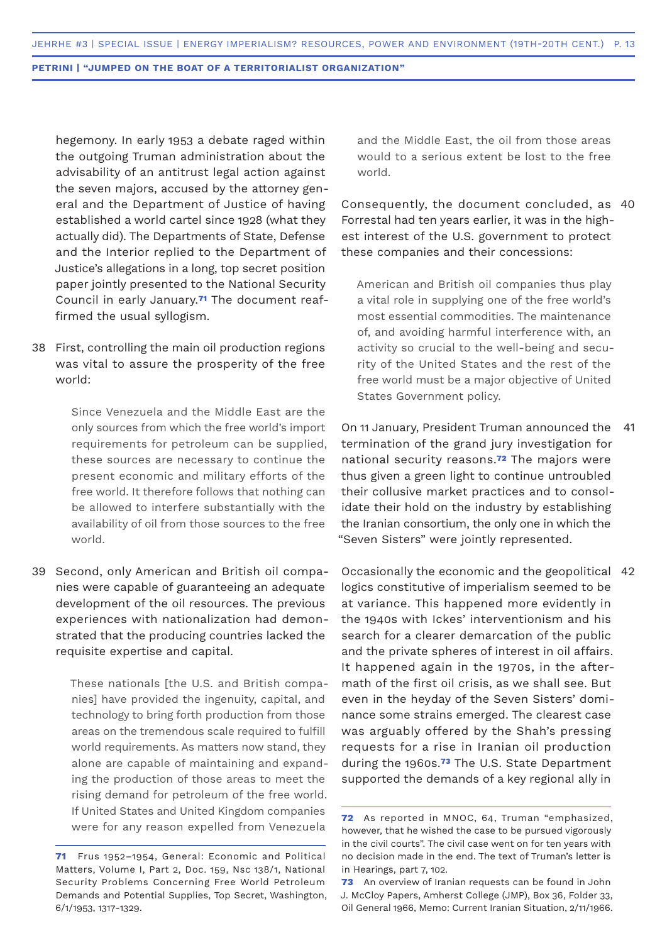hegemony. In early 1953 a debate raged within the outgoing Truman administration about the advisability of an antitrust legal action against the seven majors, accused by the attorney general and the Department of Justice of having established a world cartel since 1928 (what they actually did). The Departments of State, Defense and the Interior replied to the Department of Justice's allegations in a long, top secret position paper jointly presented to the National Security Council in early January.**71** The document reaffirmed the usual syllogism.

First, controlling the main oil production regions 38 was vital to assure the prosperity of the free world:

> Since Venezuela and the Middle East are the only sources from which the free world's import requirements for petroleum can be supplied, these sources are necessary to continue the present economic and military efforts of the free world. It therefore follows that nothing can be allowed to interfere substantially with the availability of oil from those sources to the free world.

Second, only American and British oil compa-39 nies were capable of guaranteeing an adequate development of the oil resources. The previous experiences with nationalization had demonstrated that the producing countries lacked the requisite expertise and capital.

> These nationals [the U.S. and British companies] have provided the ingenuity, capital, and technology to bring forth production from those areas on the tremendous scale required to fulfill world requirements. As matters now stand, they alone are capable of maintaining and expanding the production of those areas to meet the rising demand for petroleum of the free world. If United States and United Kingdom companies were for any reason expelled from Venezuela

and the Middle East, the oil from those areas would to a serious extent be lost to the free world.

Consequently, the document concluded, as 40 Forrestal had ten years earlier, it was in the highest interest of the U.S. government to protect these companies and their concessions:

American and British oil companies thus play a vital role in supplying one of the free world's most essential commodities. The maintenance of, and avoiding harmful interference with, an activity so crucial to the well-being and security of the United States and the rest of the free world must be a major objective of United States Government policy.

On 11 January, President Truman announced the termination of the grand jury investigation for national security reasons.**72** The majors were thus given a green light to continue untroubled their collusive market practices and to consolidate their hold on the industry by establishing the Iranian consortium, the only one in which the "Seven Sisters" were jointly represented. 41

Occasionally the economic and the geopolitical 42logics constitutive of imperialism seemed to be at variance. This happened more evidently in the 1940s with Ickes' interventionism and his search for a clearer demarcation of the public and the private spheres of interest in oil affairs. It happened again in the 1970s, in the aftermath of the first oil crisis, as we shall see. But even in the heyday of the Seven Sisters' dominance some strains emerged. The clearest case was arguably offered by the Shah's pressing requests for a rise in Iranian oil production during the 1960s.**73** The U.S. State Department supported the demands of a key regional ally in

**<sup>71</sup>** Frus 1952–1954, General: Economic and Political Matters, Volume I, Part 2, Doc. 159, Nsc 138/1, National Security Problems Concerning Free World Petroleum Demands and Potential Supplies, Top Secret, Washington, 6/1/1953, 1317-1329.

**<sup>72</sup>** As reported in MNOC, 64, Truman "emphasized, however, that he wished the case to be pursued vigorously in the civil courts". The civil case went on for ten years with no decision made in the end. The text of Truman's letter is in Hearings, part 7, 102.

**<sup>73</sup>** An overview of Iranian requests can be found in John J. McCloy Papers, Amherst College (JMP), Box 36, Folder 33, Oil General 1966, Memo: Current Iranian Situation, 2/11/1966.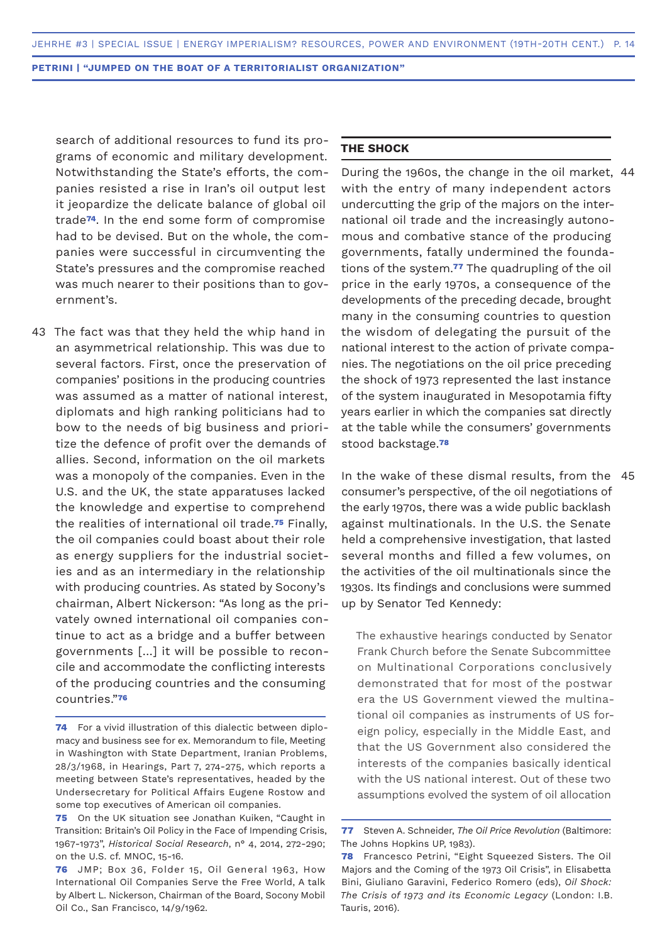search of additional resources to fund its programs of economic and military development. Notwithstanding the State's efforts, the companies resisted a rise in Iran's oil output lest it jeopardize the delicate balance of global oil trade**74**. In the end some form of compromise had to be devised. But on the whole, the companies were successful in circumventing the State's pressures and the compromise reached was much nearer to their positions than to government's.

43 The fact was that they held the whip hand in an asymmetrical relationship. This was due to several factors. First, once the preservation of companies' positions in the producing countries was assumed as a matter of national interest, diplomats and high ranking politicians had to bow to the needs of big business and prioritize the defence of profit over the demands of allies. Second, information on the oil markets was a monopoly of the companies. Even in the U.S. and the UK, the state apparatuses lacked the knowledge and expertise to comprehend the realities of international oil trade.**75** Finally, the oil companies could boast about their role as energy suppliers for the industrial societies and as an intermediary in the relationship with producing countries. As stated by Socony's chairman, Albert Nickerson: "As long as the privately owned international oil companies continue to act as a bridge and a buffer between governments […] it will be possible to reconcile and accommodate the conflicting interests of the producing countries and the consuming countries."**<sup>76</sup>**

# **THE SHOCK**

During the 1960s, the change in the oil market, 44 with the entry of many independent actors undercutting the grip of the majors on the international oil trade and the increasingly autonomous and combative stance of the producing governments, fatally undermined the foundations of the system.**77** The quadrupling of the oil price in the early 1970s, a consequence of the developments of the preceding decade, brought many in the consuming countries to question the wisdom of delegating the pursuit of the national interest to the action of private companies. The negotiations on the oil price preceding the shock of 1973 represented the last instance of the system inaugurated in Mesopotamia fifty years earlier in which the companies sat directly at the table while the consumers' governments stood backstage.**<sup>78</sup>**

In the wake of these dismal results, from the 45consumer's perspective, of the oil negotiations of the early 1970s, there was a wide public backlash against multinationals. In the U.S. the Senate held a comprehensive investigation, that lasted several months and filled a few volumes, on the activities of the oil multinationals since the 1930s. Its findings and conclusions were summed up by Senator Ted Kennedy:

The exhaustive hearings conducted by Senator Frank Church before the Senate Subcommittee on Multinational Corporations conclusively demonstrated that for most of the postwar era the US Government viewed the multinational oil companies as instruments of US foreign policy, especially in the Middle East, and that the US Government also considered the interests of the companies basically identical with the US national interest. Out of these two assumptions evolved the system of oil allocation

**<sup>74</sup>** For a vivid illustration of this dialectic between diplomacy and business see for ex. Memorandum to file, Meeting in Washington with State Department, Iranian Problems, 28/3/1968, in Hearings, Part 7, 274-275, which reports a meeting between State's representatives, headed by the Undersecretary for Political Affairs Eugene Rostow and some top executives of American oil companies.

**<sup>75</sup>** On the UK situation see Jonathan Kuiken, "Caught in Transition: Britain's Oil Policy in the Face of Impending Crisis, 1967-1973", *Historical Social Research*, n° 4, 2014, 272-290; on the U.S. cf. MNOC, 15-16.

**<sup>76</sup>** JMP; Box 36, Folder 15, Oil General 1963, How International Oil Companies Serve the Free World, A talk by Albert L. Nickerson, Chairman of the Board, Socony Mobil Oil Co., San Francisco, 14/9/1962.

**<sup>77</sup>** Steven A. Schneider, *The Oil Price Revolution* (Baltimore: The Johns Hopkins UP, 1983).

**<sup>78</sup>** Francesco Petrini, "Eight Squeezed Sisters. The Oil Majors and the Coming of the 1973 Oil Crisis", in Elisabetta Bini, Giuliano Garavini, Federico Romero (eds), *Oil Shock: The Crisis of 1973 and its Economic Legacy* (London: I.B. Tauris, 2016).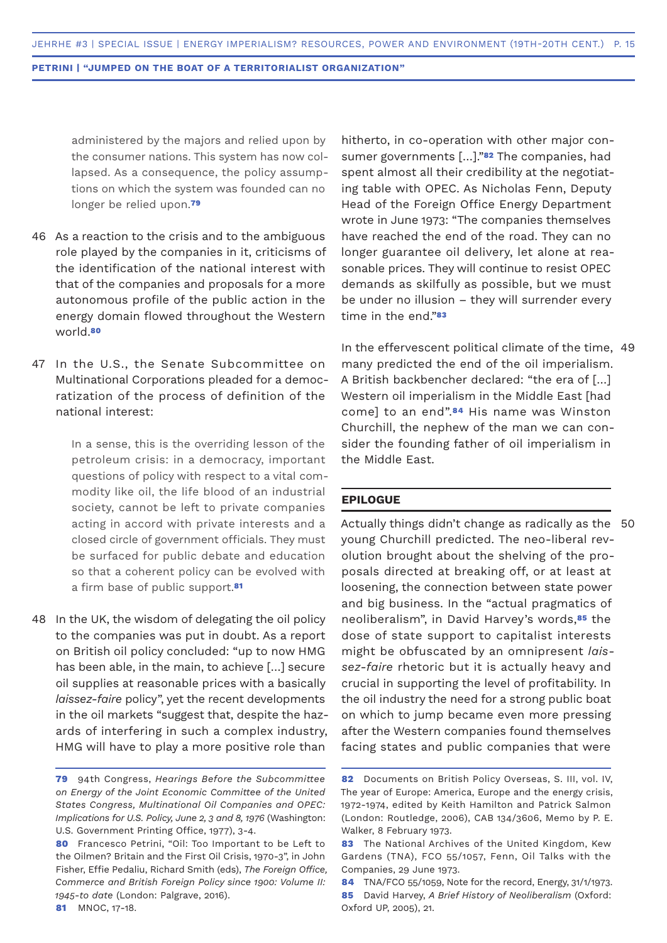administered by the majors and relied upon by the consumer nations. This system has now collapsed. As a consequence, the policy assumptions on which the system was founded can no longer be relied upon.**<sup>79</sup>**

- As a reaction to the crisis and to the ambiguous 46 role played by the companies in it, criticisms of the identification of the national interest with that of the companies and proposals for a more autonomous profile of the public action in the energy domain flowed throughout the Western world.**<sup>80</sup>**
- 47 In the U.S., the Senate Subcommittee on Multinational Corporations pleaded for a democratization of the process of definition of the national interest:

In a sense, this is the overriding lesson of the petroleum crisis: in a democracy, important questions of policy with respect to a vital commodity like oil, the life blood of an industrial society, cannot be left to private companies acting in accord with private interests and a closed circle of government officials. They must be surfaced for public debate and education so that a coherent policy can be evolved with a firm base of public support.**<sup>81</sup>**

48 In the UK, the wisdom of delegating the oil policy to the companies was put in doubt. As a report on British oil policy concluded: "up to now HMG has been able, in the main, to achieve […] secure oil supplies at reasonable prices with a basically *laissez-faire* policy", yet the recent developments in the oil markets "suggest that, despite the hazards of interfering in such a complex industry, HMG will have to play a more positive role than

hitherto, in co-operation with other major consumer governments […]."**82** The companies, had spent almost all their credibility at the negotiating table with OPEC. As Nicholas Fenn, Deputy Head of the Foreign Office Energy Department wrote in June 1973: "The companies themselves have reached the end of the road. They can no longer guarantee oil delivery, let alone at reasonable prices. They will continue to resist OPEC demands as skilfully as possible, but we must be under no illusion – they will surrender every time in the end."**<sup>83</sup>**

In the effervescent political climate of the time, 49 many predicted the end of the oil imperialism. A British backbencher declared: "the era of […] Western oil imperialism in the Middle East [had come] to an end".**84** His name was Winston Churchill, the nephew of the man we can consider the founding father of oil imperialism in the Middle East.

# **EPILOGUE**

Actually things didn't change as radically as the 50young Churchill predicted. The neo-liberal revolution brought about the shelving of the proposals directed at breaking off, or at least at loosening, the connection between state power and big business. In the "actual pragmatics of neoliberalism", in David Harvey's words,**85** the dose of state support to capitalist interests might be obfuscated by an omnipresent *laissez-faire* rhetoric but it is actually heavy and crucial in supporting the level of profitability. In the oil industry the need for a strong public boat on which to jump became even more pressing after the Western companies found themselves facing states and public companies that were

**81** MNOC, 17-18.

**<sup>79</sup>** 94th Congress, *Hearings Before the Subcommittee on Energy of the Joint Economic Committee of the United States Congress, Multinational Oil Companies and OPEC: Implications for U.S. Policy, June 2, 3 and 8, 1976* (Washington: U.S. Government Printing Office, 1977), 3-4.

**<sup>80</sup>** Francesco Petrini, "Oil: Too Important to be Left to the Oilmen? Britain and the First Oil Crisis, 1970-3", in John Fisher, Effie Pedaliu, Richard Smith (eds), *The Foreign Office, Commerce and British Foreign Policy since 1900: Volume II: 1945-to date* (London: Palgrave, 2016).

**<sup>82</sup>** Documents on British Policy Overseas, S. III, vol. IV, The year of Europe: America, Europe and the energy crisis, 1972-1974, edited by Keith Hamilton and Patrick Salmon (London: Routledge, 2006), CAB 134/3606, Memo by P. E. Walker, 8 February 1973.

**<sup>83</sup>** The National Archives of the United Kingdom, Kew Gardens (TNA), FCO 55/1057, Fenn, Oil Talks with the Companies, 29 June 1973.

**<sup>84</sup>** TNA/FCO 55/1059, Note for the record, Energy, 31/1/1973. **85** David Harvey, *A Brief History of Neoliberalism* (Oxford: Oxford UP, 2005), 21.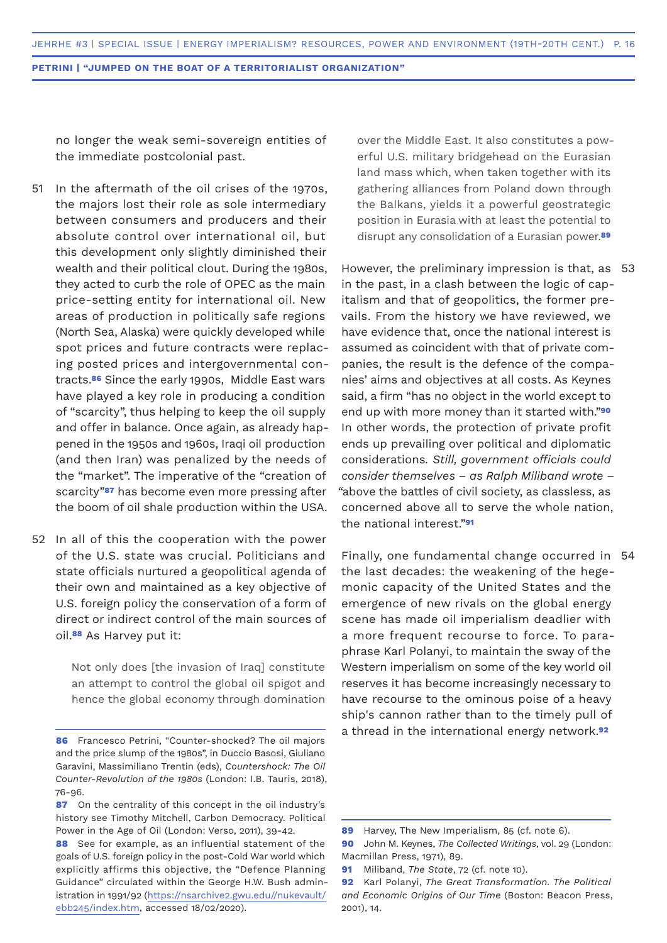no longer the weak semi-sovereign entities of the immediate postcolonial past.

- In the aftermath of the oil crises of the 1970s, the majors lost their role as sole intermediary between consumers and producers and their absolute control over international oil, but this development only slightly diminished their wealth and their political clout. During the 1980s, they acted to curb the role of OPEC as the main price-setting entity for international oil. New areas of production in politically safe regions (North Sea, Alaska) were quickly developed while spot prices and future contracts were replacing posted prices and intergovernmental contracts.**86** Since the early 1990s, Middle East wars have played a key role in producing a condition of "scarcity", thus helping to keep the oil supply and offer in balance. Once again, as already happened in the 1950s and 1960s, Iraqi oil production (and then Iran) was penalized by the needs of the "market". The imperative of the "creation of scarcity"**87** has become even more pressing after the boom of oil shale production within the USA. 51
- 52 In all of this the cooperation with the power of the U.S. state was crucial. Politicians and state officials nurtured a geopolitical agenda of their own and maintained as a key objective of U.S. foreign policy the conservation of a form of direct or indirect control of the main sources of oil.**88** As Harvey put it:

Not only does [the invasion of Iraq] constitute an attempt to control the global oil spigot and hence the global economy through domination over the Middle East. It also constitutes a powerful U.S. military bridgehead on the Eurasian land mass which, when taken together with its gathering alliances from Poland down through the Balkans, yields it a powerful geostrategic position in Eurasia with at least the potential to disrupt any consolidation of a Eurasian power.**<sup>89</sup>**

However, the preliminary impression is that, as 53 in the past, in a clash between the logic of capitalism and that of geopolitics, the former prevails. From the history we have reviewed, we have evidence that, once the national interest is assumed as coincident with that of private companies, the result is the defence of the companies' aims and objectives at all costs. As Keynes said, a firm "has no object in the world except to end up with more money than it started with."**<sup>90</sup>** In other words, the protection of private profit ends up prevailing over political and diplomatic considerations*. Still, government officials could consider themselves – as Ralph Miliband wrote – "*above the battles of civil society, as classless, as concerned above all to serve the whole nation, the national interest."**<sup>91</sup>**

Finally, one fundamental change occurred in 54the last decades: the weakening of the hegemonic capacity of the United States and the emergence of new rivals on the global energy scene has made oil imperialism deadlier with a more frequent recourse to force. To paraphrase Karl Polanyi, to maintain the sway of the Western imperialism on some of the key world oil reserves it has become increasingly necessary to have recourse to the ominous poise of a heavy ship's cannon rather than to the timely pull of a thread in the international energy network.**<sup>92</sup>**

**<sup>86</sup>** Francesco Petrini, "Counter-shocked? The oil majors and the price slump of the 1980s", in Duccio Basosi, Giuliano Garavini, Massimiliano Trentin (eds), *Countershock: The Oil Counter-Revolution of the 1980s* (London: I.B. Tauris, 2018), 76-96.

**<sup>87</sup>** On the centrality of this concept in the oil industry's history see Timothy Mitchell, Carbon Democracy. Political Power in the Age of Oil (London: Verso, 2011), 39-42.

**<sup>88</sup>** See for example, as an influential statement of the goals of U.S. foreign policy in the post-Cold War world which explicitly affirms this objective, the "Defence Planning Guidance" circulated within the George H.W. Bush administration in 1991/92 (https://nsarchive2.gwu.edu//nukevault/ ebb245/index.htm, accessed 18/02/2020).

**<sup>89</sup>** Harvey, The New Imperialism, 85 (cf. note 6).

**<sup>90</sup>** John M. Keynes, *The Collected Writings*, vol. 29 (London: Macmillan Press, 1971), 89.

**<sup>91</sup>** Miliband, *The State*, 72 (cf. note 10).

**<sup>92</sup>** Karl Polanyi, *The Great Transformation. The Political and Economic Origins of Our Time* (Boston: Beacon Press, 2001), 14.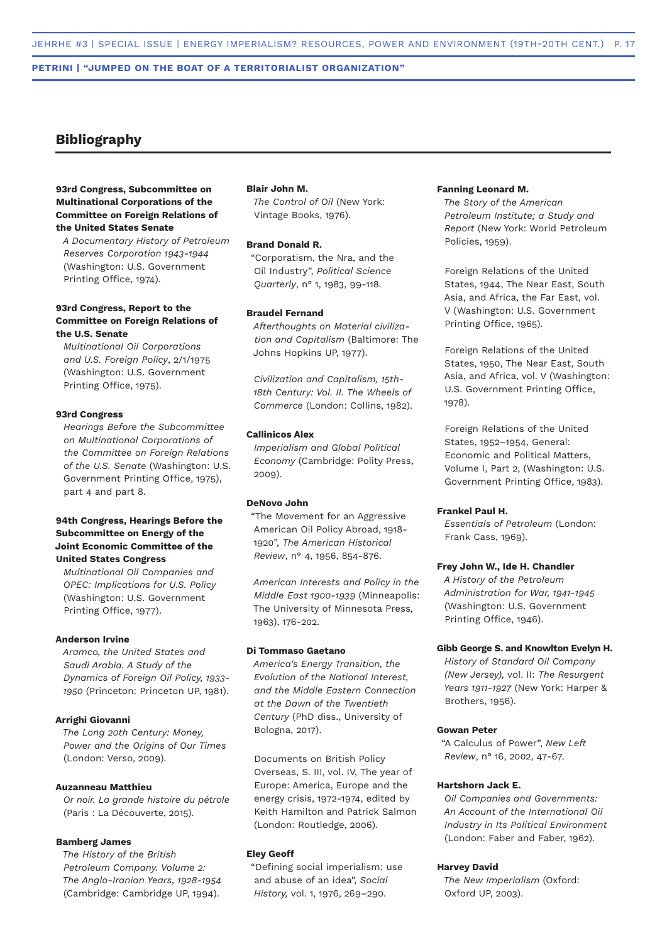# **Bibliography**

# **93rd Congress, Subcommittee on Multinational Corporations of the Committee on Foreign Relations of the United States Senate**

*A Documentary History of Petroleum Reserves Corporation 1943-1944* (Washington: U.S. Government Printing Office, 1974).

## **93rd Congress, Report to the Committee on Foreign Relations of the U.S. Senate**

*Multinational Oil Corporations and U.S. Foreign Policy*, 2/1/1975 (Washington: U.S. Government Printing Office, 1975).

#### **93rd Congress**

*Hearings Before the Subcommittee on Multinational Corporations of the Committee on Foreign Relations of the U.S. Senate* (Washington: U.S. Government Printing Office, 1975), part 4 and part 8.

## **94th Congress, Hearings Before the Subcommittee on Energy of the Joint Economic Committee of the United States Congress**

*Multinational Oil Companies and OPEC: Implications for U.S. Policy* (Washington: U.S. Government Printing Office, 1977).

# **Anderson Irvine**

*Aramco, the United States and Saudi Arabia. A Study of the Dynamics of Foreign Oil Policy, 1933- 1950* (Princeton: Princeton UP, 1981).

# **Arrighi Giovanni**

*The Long 20th Century: Money, Power and the Origins of Our Times* (London: Verso, 2009).

#### **Auzanneau Matthieu**

*Or noir. La grande histoire du pétrole* (Paris : La Découverte, 2015).

#### **Bamberg James**

*The History of the British Petroleum Company. Volume 2: The Anglo-Iranian Years, 1928-1954* (Cambridge: Cambridge UP, 1994).

### **Blair John M.**

*The Control of Oil* (New York: Vintage Books, 1976).

#### **Brand Donald R.**

"Corporatism, the Nra, and the Oil Industry", *Political Science Quarterly*, n° 1, 1983, 99-118.

# **Braudel Fernand**

*Afterthoughts on Material civilization and Capitalism* (Baltimore: The Johns Hopkins UP, 1977).

*Civilization and Capitalism, 15th-18th Century: Vol. II. The Wheels of Commerce* (London: Collins, 1982).

## **Callinicos Alex**

*Imperialism and Global Political Economy* (Cambridge: Polity Press, 2009).

#### **DeNovo John**

"The Movement for an Aggressive American Oil Policy Abroad, 1918- 1920", *The American Historical Review*, n° 4, 1956, 854-876.

*American Interests and Policy in the Middle East 1900-1939* (Minneapolis: The University of Minnesota Press, 1963), 176-202.

#### **Di Tommaso Gaetano**

*America's Energy Transition, the Evolution of the National Interest, and the Middle Eastern Connection at the Dawn of the Twentieth Century* (PhD diss., University of Bologna, 2017).

Documents on British Policy Overseas, S. III, vol. IV, The year of Europe: America, Europe and the energy crisis, 1972-1974, edited by Keith Hamilton and Patrick Salmon (London: Routledge, 2006).

### **Eley Geoff**

"Defining social imperialism: use and abuse of an idea", *Social History,* vol. 1, 1976, 269–290.

# **Fanning Leonard M.**

*The Story of the American Petroleum Institute; a Study and Report* (New York: World Petroleum Policies, 1959).

Foreign Relations of the United States, 1944, The Near East, South Asia, and Africa, the Far East, vol. V (Washington: U.S. Government Printing Office, 1965).

Foreign Relations of the United States, 1950, The Near East, South Asia, and Africa, vol. V (Washington: U.S. Government Printing Office, 1978).

Foreign Relations of the United States, 1952–1954, General: Economic and Political Matters, Volume I, Part 2, (Washington: U.S. Government Printing Office, 1983).

#### **Frankel Paul H.**

*Essentials of Petroleum* (London: Frank Cass, 1969).

#### **Frey John W., Ide H. Chandler**

*A History of the Petroleum Administration for War, 1941-1945* (Washington: U.S. Government Printing Office, 1946).

#### **Gibb George S. and Knowlton Evelyn H.**

*History of Standard Oil Company (New Jersey),* vol. II: *The Resurgent Years 1911-1927* (New York: Harper & Brothers, 1956).

### **Gowan Peter**

"A Calculus of Power", *New Left Review*, n° 16, 2002, 47-67.

#### **Hartshorn Jack E.**

*Oil Companies and Governments: An Account of the International Oil Industry in Its Political Environment* (London: Faber and Faber, 1962).

#### **Harvey David**

*The New Imperialism* (Oxford: Oxford UP, 2003).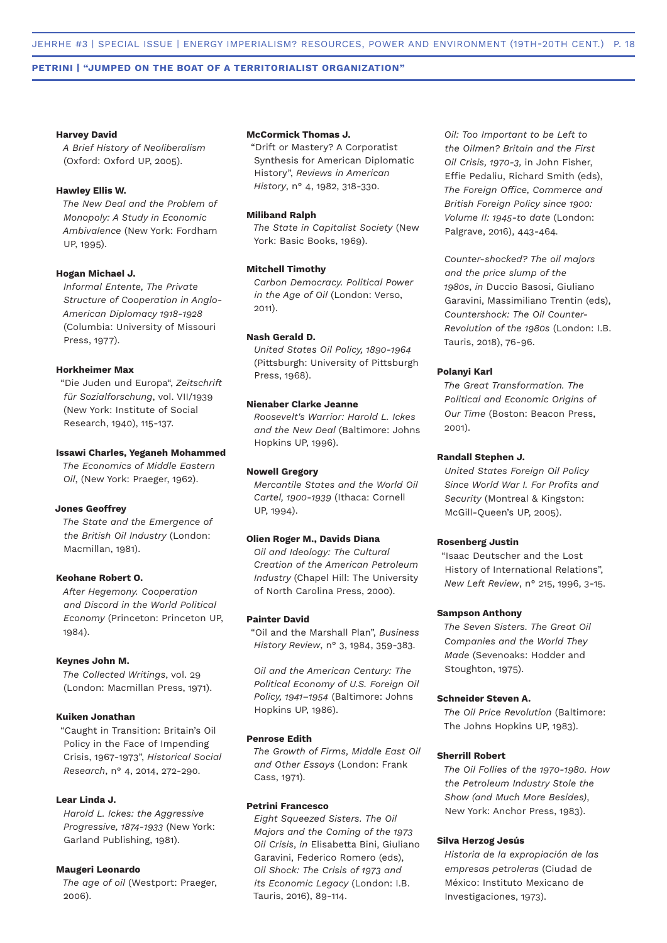#### **Harvey David**

*A Brief History of Neoliberalism* (Oxford: Oxford UP, 2005).

## **Hawley Ellis W.**

*The New Deal and the Problem of Monopoly: A Study in Economic Ambivalence* (New York: Fordham UP, 1995).

### **Hogan Michael J.**

*Informal Entente, The Private Structure of Cooperation in Anglo-American Diplomacy 1918-1928* (Columbia: University of Missouri Press, 1977).

#### **Horkheimer Max**

"Die Juden und Europa", *Zeitschrift für Sozialforschung*, vol. VII/1939 (New York: Institute of Social Research, 1940), 115-137.

# **Issawi Charles, Yeganeh Mohammed**

*The Economics of Middle Eastern Oil*, (New York: Praeger, 1962).

#### **Jones Geoffrey**

*The State and the Emergence of the British Oil Industry* (London: Macmillan, 1981).

#### **Keohane Robert O.**

*After Hegemony. Cooperation and Discord in the World Political Economy* (Princeton: Princeton UP, 1984).

## **Keynes John M.**

*The Collected Writings*, vol. 29 (London: Macmillan Press, 1971).

## **Kuiken Jonathan**

"Caught in Transition: Britain's Oil Policy in the Face of Impending Crisis, 1967-1973", *Historical Social Research*, n° 4, 2014, 272-290.

#### **Lear Linda J.**

*Harold L. Ickes: the Aggressive Progressive, 1874-1933* (New York: Garland Publishing, 1981).

#### **Maugeri Leonardo**

*The age of oil* (Westport: Praeger, 2006).

### **McCormick Thomas J.**

"Drift or Mastery? A Corporatist Synthesis for American Diplomatic History", *Reviews in American History*, n° 4, 1982, 318-330.

### **Miliband Ralph**

*The State in Capitalist Society* (New York: Basic Books, 1969).

#### **Mitchell Timothy**

*Carbon Democracy. Political Power in the Age of Oil* (London: Verso, 2011).

# **Nash Gerald D.**

*United States Oil Policy, 1890-1964* (Pittsburgh: University of Pittsburgh Press, 1968).

### **Nienaber Clarke Jeanne**

*Roosevelt's Warrior: Harold L. Ickes and the New Deal* (Baltimore: Johns Hopkins UP, 1996).

### **Nowell Gregory**

*Mercantile States and the World Oil Cartel, 1900-1939* (Ithaca: Cornell UP, 1994).

#### **Olien Roger M., Davids Diana**

*Oil and Ideology: The Cultural Creation of the American Petroleum Industry* (Chapel Hill: The University of North Carolina Press, 2000).

#### **Painter David**

"Oil and the Marshall Plan", *Business History Review*, n° 3, 1984, 359-383.

*Oil and the American Century: The Political Economy of U.S. Foreign Oil Policy, 1941–1954* (Baltimore: Johns Hopkins UP, 1986).

#### **Penrose Edith**

*The Growth of Firms, Middle East Oil and Other Essays* (London: Frank Cass, 1971).

# **Petrini Francesco**

*Eight Squeezed Sisters. The Oil Majors and the Coming of the 1973 Oil Crisis*, *in* Elisabetta Bini, Giuliano Garavini, Federico Romero (eds), *Oil Shock: The Crisis of 1973 and its Economic Legacy* (London: I.B. Tauris, 2016), 89-114.

*Oil: Too Important to be Left to the Oilmen? Britain and the First Oil Crisis, 1970-3,* in John Fisher, Effie Pedaliu, Richard Smith (eds), *The Foreign Office, Commerce and British Foreign Policy since 1900: Volume II: 1945-to date* (London: Palgrave, 2016), 443-464*.*

*Counter-shocked? The oil majors and the price slump of the 1980s*, *in* Duccio Basosi, Giuliano Garavini, Massimiliano Trentin (eds), *Countershock: The Oil Counter-Revolution of the 1980s* (London: I.B. Tauris, 2018), 76-96.

### **Polanyi Karl**

*The Great Transformation. The Political and Economic Origins of Our Time* (Boston: Beacon Press, 2001).

#### **Randall Stephen J.**

*United States Foreign Oil Policy Since World War I. For Profits and Security* (Montreal & Kingston: McGill-Queen's UP, 2005).

#### **Rosenberg Justin**

"Isaac Deutscher and the Lost History of International Relations", *New Left Review*, n° 215, 1996, 3-15.

#### **Sampson Anthony**

*The Seven Sisters. The Great Oil Companies and the World They Made* (Sevenoaks: Hodder and Stoughton, 1975).

#### **Schneider Steven A.**

*The Oil Price Revolution* (Baltimore: The Johns Hopkins UP, 1983).

## **Sherrill Robert**

*The Oil Follies of the 1970-1980. How the Petroleum Industry Stole the Show (and Much More Besides)*, New York: Anchor Press, 1983).

#### **Silva Herzog Jesús**

*Historia de la expropiación de las empresas petroleras* (Ciudad de México: Instituto Mexicano de Investigaciones, 1973).